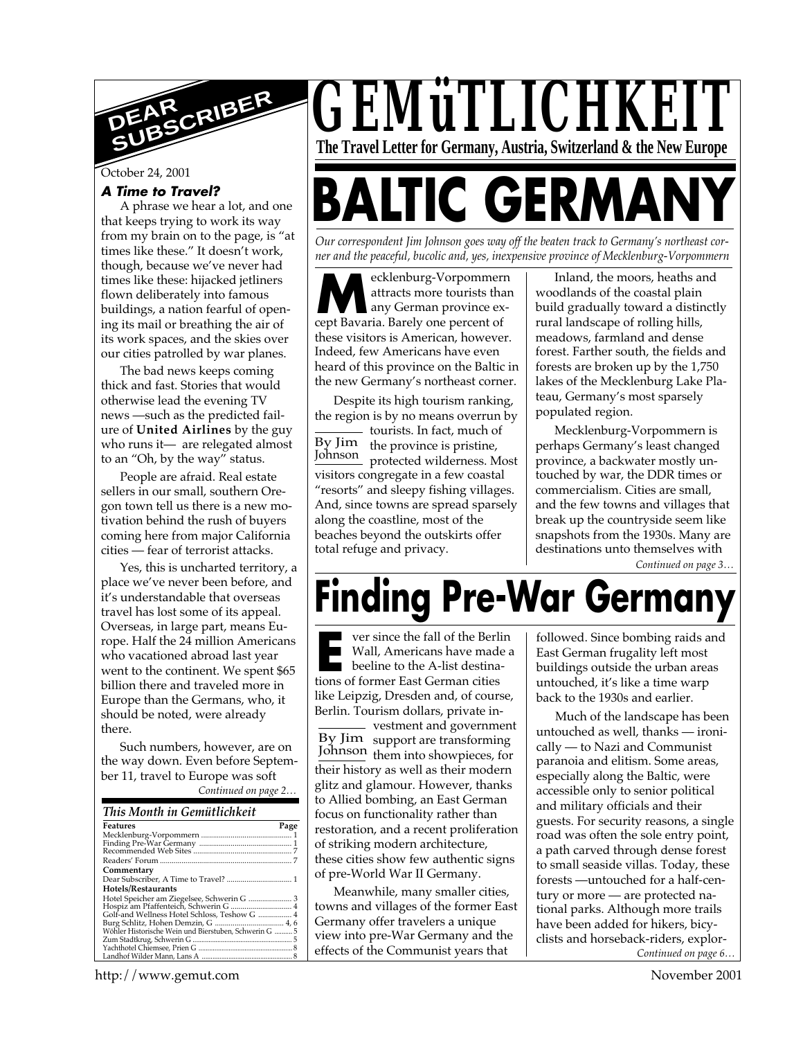

October 24, 2001

#### **A Time to Travel?**

A phrase we hear a lot, and one that keeps trying to work its way from my brain on to the page, is "at times like these." It doesn't work, though, because we've never had times like these: hijacked jetliners flown deliberately into famous buildings, a nation fearful of opening its mail or breathing the air of its work spaces, and the skies over our cities patrolled by war planes.

The bad news keeps coming thick and fast. Stories that would otherwise lead the evening TV news —such as the predicted failure of **United Airlines** by the guy who runs it— are relegated almost to an "Oh, by the way" status.

People are afraid. Real estate sellers in our small, southern Oregon town tell us there is a new motivation behind the rush of buyers coming here from major California cities — fear of terrorist attacks.

Yes, this is uncharted territory, a place we've never been before, and it's understandable that overseas travel has lost some of its appeal. Overseas, in large part, means Europe. Half the 24 million Americans who vacationed abroad last year went to the continent. We spent \$65 billion there and traveled more in Europe than the Germans, who, it should be noted, were already there.

Such numbers, however, are on the way down. Even before September 11, travel to Europe was soft

| Continued on page 2 |  |
|---------------------|--|
|---------------------|--|

| This Month in Gemütlichkeit                                                         |      |
|-------------------------------------------------------------------------------------|------|
| <b>Features</b>                                                                     | Page |
|                                                                                     |      |
|                                                                                     |      |
|                                                                                     |      |
|                                                                                     |      |
| Commentary                                                                          |      |
| Dear Subscriber, A Time to Travel?  1                                               |      |
| Hotels/Restaurants                                                                  |      |
|                                                                                     |      |
| Hotel Speicher am Ziegelsee, Schwerin G  3<br>Hospiz am Pfaffenteich, Schwerin G  4 |      |
| Golf-and Wellness Hotel Schloss, Teshow G  4                                        |      |
|                                                                                     |      |
| Wöhler Historische Wein und Bierstuben, Schwerin G  5                               |      |
|                                                                                     |      |
|                                                                                     |      |
|                                                                                     |      |



# **BALTIC GERMA**

*Our correspondent Jim Johnson goes way off the beaten track to Germany's northeast corner and the peaceful, bucolic and, yes, inexpensive province of Mecklenburg-Vorpommern*

**M**ecklenburg-Vorpommer<br>
attracts more tourists tha<br>
cept Bavaria. Barely one percent of ecklenburg-Vorpommern attracts more tourists than any German province exthese visitors is American, however. Indeed, few Americans have even heard of this province on the Baltic in the new Germany's northeast corner.

By Jim the province is pristine, Johnson protected wilderness. Most Despite its high tourism ranking, the region is by no means overrun by - tourists. In fact, much of visitors congregate in a few coastal "resorts" and sleepy fishing villages. And, since towns are spread sparsely along the coastline, most of the beaches beyond the outskirts offer total refuge and privacy.

Inland, the moors, heaths and woodlands of the coastal plain build gradually toward a distinctly rural landscape of rolling hills, meadows, farmland and dense forest. Farther south, the fields and forests are broken up by the 1,750 lakes of the Mecklenburg Lake Plateau, Germany's most sparsely populated region.

Mecklenburg-Vorpommern is perhaps Germany's least changed province, a backwater mostly untouched by war, the DDR times or commercialism. Cities are small, and the few towns and villages that break up the countryside seem like snapshots from the 1930s. Many are destinations unto themselves with

*Continued on page 3…*

## **Finding Pre-War Germany**

**Extending to the fall of the Berl<br>
ERE Wall, Americans have mad<br>
beeline to the A-list destinations of former East German cities** ver since the fall of the Berlin Wall, Americans have made a beeline to the A-list destinalike Leipzig, Dresden and, of course, Berlin. Tourism dollars, private in-

By Jim support are transforming Johnson them into showpieces, for - vestment and government their history as well as their modern glitz and glamour. However, thanks to Allied bombing, an East German focus on functionality rather than restoration, and a recent proliferation of striking modern architecture, these cities show few authentic signs of pre-World War II Germany.

Meanwhile, many smaller cities, towns and villages of the former East Germany offer travelers a unique view into pre-War Germany and the effects of the Communist years that

followed. Since bombing raids and East German frugality left most buildings outside the urban areas untouched, it's like a time warp back to the 1930s and earlier.

*Continued on page 6…* Much of the landscape has been untouched as well, thanks — ironically — to Nazi and Communist paranoia and elitism. Some areas, especially along the Baltic, were accessible only to senior political and military officials and their guests. For security reasons, a single road was often the sole entry point, a path carved through dense forest to small seaside villas. Today, these forests —untouched for a half-century or more — are protected national parks. Although more trails have been added for hikers, bicyclists and horseback-riders, explor-

http://www.gemut.com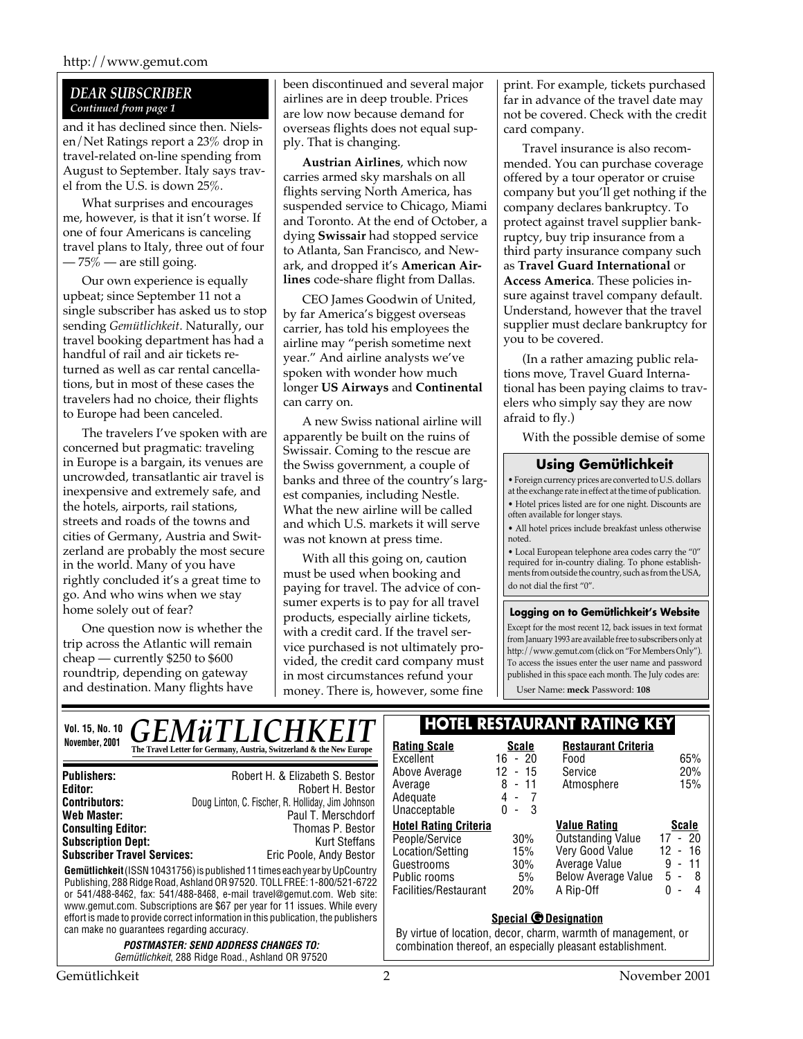#### *DEAR SUBSCRIBER Continued from page 1*

and it has declined since then. Nielsen/Net Ratings report a 23% drop in travel-related on-line spending from August to September. Italy says travel from the U.S. is down 25%.

What surprises and encourages me, however, is that it isn't worse. If one of four Americans is canceling travel plans to Italy, three out of four  $-75\%$  — are still going.

Our own experience is equally upbeat; since September 11 not a single subscriber has asked us to stop sending *Gemütlichkeit*. Naturally, our travel booking department has had a handful of rail and air tickets returned as well as car rental cancellations, but in most of these cases the travelers had no choice, their flights to Europe had been canceled.

The travelers I've spoken with are concerned but pragmatic: traveling in Europe is a bargain, its venues are uncrowded, transatlantic air travel is inexpensive and extremely safe, and the hotels, airports, rail stations, streets and roads of the towns and cities of Germany, Austria and Switzerland are probably the most secure in the world. Many of you have rightly concluded it's a great time to go. And who wins when we stay home solely out of fear?

One question now is whether the trip across the Atlantic will remain cheap — currently \$250 to \$600 roundtrip, depending on gateway and destination. Many flights have

been discontinued and several major airlines are in deep trouble. Prices are low now because demand for overseas flights does not equal supply. That is changing.

**Austrian Airlines**, which now carries armed sky marshals on all flights serving North America, has suspended service to Chicago, Miami and Toronto. At the end of October, a dying **Swissair** had stopped service to Atlanta, San Francisco, and Newark, and dropped it's **American Airlines** code-share flight from Dallas.

CEO James Goodwin of United, by far America's biggest overseas carrier, has told his employees the airline may "perish sometime next year." And airline analysts we've spoken with wonder how much longer **US Airways** and **Continental** can carry on.

A new Swiss national airline will apparently be built on the ruins of Swissair. Coming to the rescue are the Swiss government, a couple of banks and three of the country's largest companies, including Nestle. What the new airline will be called and which U.S. markets it will serve was not known at press time.

With all this going on, caution must be used when booking and paying for travel. The advice of consumer experts is to pay for all travel products, especially airline tickets, with a credit card. If the travel service purchased is not ultimately provided, the credit card company must in most circumstances refund your money. There is, however, some fine

print. For example, tickets purchased far in advance of the travel date may not be covered. Check with the credit card company.

Travel insurance is also recommended. You can purchase coverage offered by a tour operator or cruise company but you'll get nothing if the company declares bankruptcy. To protect against travel supplier bankruptcy, buy trip insurance from a third party insurance company such as **Travel Guard International** or **Access America**. These policies insure against travel company default. Understand, however that the travel supplier must declare bankruptcy for you to be covered.

(In a rather amazing public relations move, Travel Guard International has been paying claims to travelers who simply say they are now afraid to fly.)

With the possible demise of some

#### **Using Gemütlichkeit**

• Foreign currency prices are converted to U.S. dollars at the exchange rate in effect at the time of publication. • Hotel prices listed are for one night. Discounts are often available for longer stays.

• All hotel prices include breakfast unless otherwise noted.

• Local European telephone area codes carry the "0" required for in-country dialing. To phone establishments from outside the country, such as from the USA, do not dial the first "0".

#### **Logging on to Gemütlichkeit's Website**

Except for the most recent 12, back issues in text format from January 1993 are available free to subscribers only at http://www.gemut.com (click on "For Members Only"). To access the issues enter the user name and password published in this space each month. The July codes are:

User Name: **meck** Password: **108**

| <b>GEMÜTLICHKEIT</b><br><b>Vol. 15, No. 10</b>                                                                                                                                                                                                                                                                                                                                                                                                                                             | <b>HOTEL RESTAURANT RATING KEY</b>                                                                                                                          |                                                                                         |                                                                                                                         |                                                                                                                 |
|--------------------------------------------------------------------------------------------------------------------------------------------------------------------------------------------------------------------------------------------------------------------------------------------------------------------------------------------------------------------------------------------------------------------------------------------------------------------------------------------|-------------------------------------------------------------------------------------------------------------------------------------------------------------|-----------------------------------------------------------------------------------------|-------------------------------------------------------------------------------------------------------------------------|-----------------------------------------------------------------------------------------------------------------|
| November, 2001<br>The Travel Letter for Germany, Austria, Switzerland & the New Europe                                                                                                                                                                                                                                                                                                                                                                                                     | <b>Rating Scale</b><br>Excellent                                                                                                                            | <b>Scale</b><br>16 - 20                                                                 | <b>Restaurant Criteria</b><br>Food                                                                                      | 65%                                                                                                             |
| Robert H. & Elizabeth S. Bestor<br><b>Publishers:</b><br>Editor:<br>Robert H. Bestor<br>Doug Linton, C. Fischer, R. Holliday, Jim Johnson<br><b>Contributors:</b><br>Web Master:<br>Paul T. Merschdorf                                                                                                                                                                                                                                                                                     | Above Average<br>Average<br>Adequate<br>Unacceptable                                                                                                        | 12<br>$-15$<br>8<br>$-11$<br>4<br>$\overline{\phantom{a}}$<br>-3<br>0<br>$\blacksquare$ | Service<br>Atmosphere                                                                                                   | 20%<br>15%                                                                                                      |
| <b>Consulting Editor:</b><br>Thomas P. Bestor<br><b>Subscription Dept:</b><br><b>Kurt Steffans</b><br><b>Subscriber Travel Services:</b><br>Eric Poole, Andy Bestor<br><b>Gemütlichkeit</b> (ISSN 10431756) is published 11 times each year by UpCountry<br>Publishing, 288 Ridge Road, Ashland OR 97520. TOLL FREE: 1-800/521-6722<br>or 541/488-8462, fax: 541/488-8468, e-mail travel@gemut.com. Web site:<br>www.gemut.com. Subscriptions are \$67 per year for 11 issues. While every | <b>Hotel Rating Criteria</b><br>People/Service<br>Location/Setting<br>Guestrooms<br>Public rooms<br>Facilities/Restaurant                                   | 30%<br>15%<br>$30\%$<br>5%<br>20%                                                       | <b>Value Rating</b><br>Outstanding Value<br>Very Good Value<br>Average Value<br><b>Below Average Value</b><br>A Rip-Off | <b>Scale</b><br>17 - 20<br>-16<br>12<br>$\sim$<br>11<br>9<br>$\sim$<br>$5 - 8$<br>0<br>$\overline{\phantom{0}}$ |
| effort is made to provide correct information in this publication, the publishers<br>can make no quarantees regarding accuracy.<br><i>POSTMASTER: SEND ADDRESS CHANGES TO:</i><br><i>Gemütlichkeit</i> , 288 Ridge Road., Ashland OR 97520                                                                                                                                                                                                                                                 | <b>Special @ Designation</b><br>By virtue of location, decor, charm, warmth of management, or<br>combination thereof, an especially pleasant establishment. |                                                                                         |                                                                                                                         |                                                                                                                 |
| Gemütlichkeit                                                                                                                                                                                                                                                                                                                                                                                                                                                                              |                                                                                                                                                             |                                                                                         |                                                                                                                         | November 2001                                                                                                   |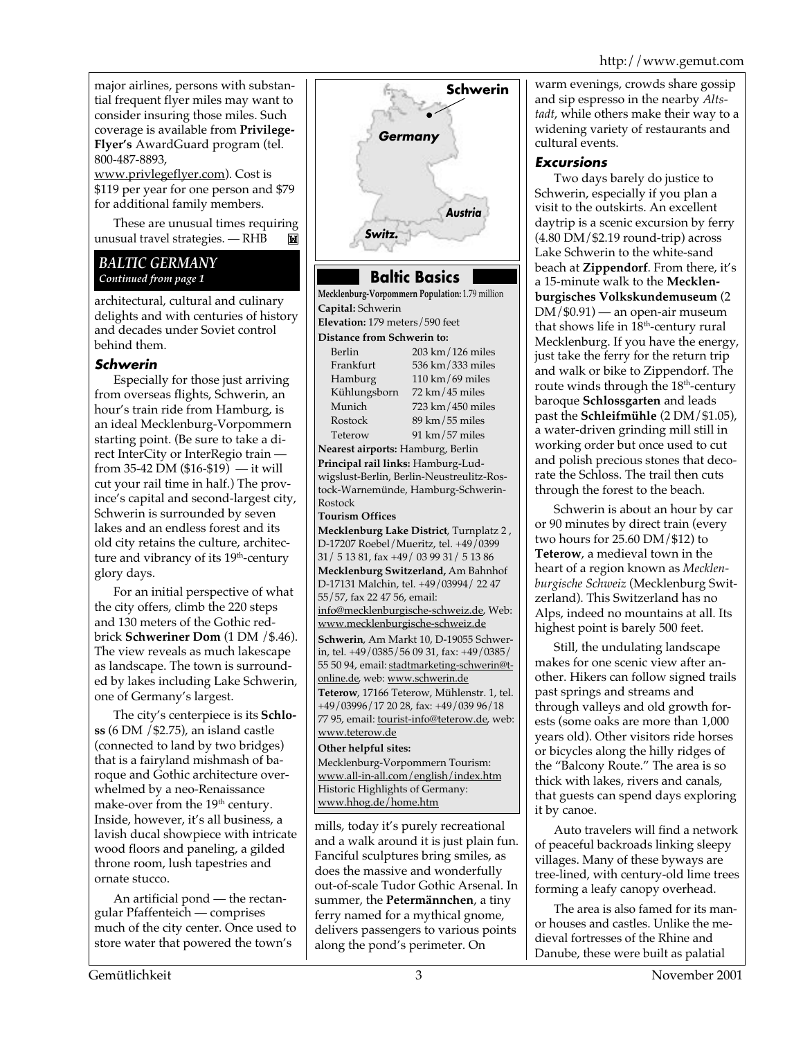major airlines, persons with substantial frequent flyer miles may want to consider insuring those miles. Such coverage is available from **Privilege-Flyer's** AwardGuard program (tel. 800-487-8893,

www.privlegeflyer.com). Cost is \$119 per year for one person and \$79 for additional family members.

These are unusual times requiring unusual travel strategies. — RHB

#### *BALTIC GERMANY Continued from page 1*

architectural, cultural and culinary delights and with centuries of history and decades under Soviet control behind them.

#### **Schwerin**

Especially for those just arriving from overseas flights, Schwerin, an hour's train ride from Hamburg, is an ideal Mecklenburg-Vorpommern starting point. (Be sure to take a direct InterCity or InterRegio train from 35-42 DM  $(\$16-\$19)$  — it will cut your rail time in half.) The province's capital and second-largest city, Schwerin is surrounded by seven lakes and an endless forest and its old city retains the culture, architecture and vibrancy of its 19<sup>th</sup>-century glory days.

For an initial perspective of what the city offers, climb the 220 steps and 130 meters of the Gothic redbrick **Schweriner Dom** (1 DM /\$.46). The view reveals as much lakescape as landscape. The town is surrounded by lakes including Lake Schwerin, one of Germany's largest.

The city's centerpiece is its **Schloss** (6 DM /\$2.75), an island castle (connected to land by two bridges) that is a fairyland mishmash of baroque and Gothic architecture overwhelmed by a neo-Renaissance make-over from the 19<sup>th</sup> century. Inside, however, it's all business, a lavish ducal showpiece with intricate wood floors and paneling, a gilded throne room, lush tapestries and ornate stucco.

An artificial pond — the rectangular Pfaffenteich — comprises much of the city center. Once used to store water that powered the town's



#### **Baltic Basics**

**Mecklenburg-Vorpommern Population:** 1.79 million **Capital:** Schwerin

#### **Elevation:** 179 meters/590 feet **Distance from Schwerin to:**

Berlin 203 km/126 miles

Frankfurt 536 km/333 miles Hamburg 110 km/69 miles Kühlungsborn 72 km/45 miles Munich 723 km/450 miles<br>Rostock 89 km/55 miles  $89$  km/ $55$  miles Teterow 91 km/57 miles

**Nearest airports:** Hamburg, Berlin **Principal rail links:** Hamburg-Ludwigslust-Berlin, Berlin-Neustreulitz-Rostock-Warnemünde, Hamburg-Schwerin-Rostock

**Tourism Offices**

**Mecklenburg Lake District**, Turnplatz 2 , D-17207 Roebel/Mueritz, tel. +49/0399 31/ 5 13 81, fax +49/ 03 99 31/ 5 13 86 **Mecklenburg Switzerland,** Am Bahnhof D-17131 Malchin, tel. +49/03994/ 22 47 55/57, fax 22 47 56, email: info@mecklenburgische-schweiz.de, Web:

www.mecklenburgische-schweiz.de **Schwerin**, Am Markt 10, D-19055 Schwerin, tel. +49/0385/56 09 31, fax: +49/0385/ 55 50 94, email: stadtmarketing-schwerin@tonline.de, web: www.schwerin.de **Teterow**, 17166 Teterow, Mühlenstr. 1, tel.

+49/03996/17 20 28, fax: +49/039 96/18 77 95, email: *tourist-info@teterow.de*, web: www.teterow.de

**Other helpful sites:**

Mecklenburg-Vorpommern Tourism: www.all-in-all.com/english/index.htm Historic Highlights of Germany: www.hhog.de/home.htm

mills, today it's purely recreational and a walk around it is just plain fun. Fanciful sculptures bring smiles, as does the massive and wonderfully out-of-scale Tudor Gothic Arsenal. In summer, the **Petermännchen**, a tiny ferry named for a mythical gnome, delivers passengers to various points along the pond's perimeter. On

warm evenings, crowds share gossip and sip espresso in the nearby *Altstadt*, while others make their way to a widening variety of restaurants and cultural events.

#### **Excursions**

Two days barely do justice to Schwerin, especially if you plan a visit to the outskirts. An excellent daytrip is a scenic excursion by ferry (4.80 DM/\$2.19 round-trip) across Lake Schwerin to the white-sand beach at **Zippendorf**. From there, it's a 15-minute walk to the **Mecklenburgisches Volkskundemuseum** (2 DM/\$0.91) — an open-air museum that shows life in  $18<sup>th</sup>$ -century rural Mecklenburg. If you have the energy, just take the ferry for the return trip and walk or bike to Zippendorf. The route winds through the  $18<sup>th</sup>$ -century baroque **Schlossgarten** and leads past the **Schleifmühle** (2 DM/\$1.05), a water-driven grinding mill still in working order but once used to cut and polish precious stones that decorate the Schloss. The trail then cuts through the forest to the beach.

Schwerin is about an hour by car or 90 minutes by direct train (every two hours for 25.60 DM/\$12) to **Teterow**, a medieval town in the heart of a region known as *Mecklenburgische Schweiz* (Mecklenburg Switzerland). This Switzerland has no Alps, indeed no mountains at all. Its highest point is barely 500 feet.

Still, the undulating landscape makes for one scenic view after another. Hikers can follow signed trails past springs and streams and through valleys and old growth forests (some oaks are more than 1,000 years old). Other visitors ride horses or bicycles along the hilly ridges of the "Balcony Route." The area is so thick with lakes, rivers and canals, that guests can spend days exploring it by canoe.

Auto travelers will find a network of peaceful backroads linking sleepy villages. Many of these byways are tree-lined, with century-old lime trees forming a leafy canopy overhead.

The area is also famed for its manor houses and castles. Unlike the medieval fortresses of the Rhine and Danube, these were built as palatial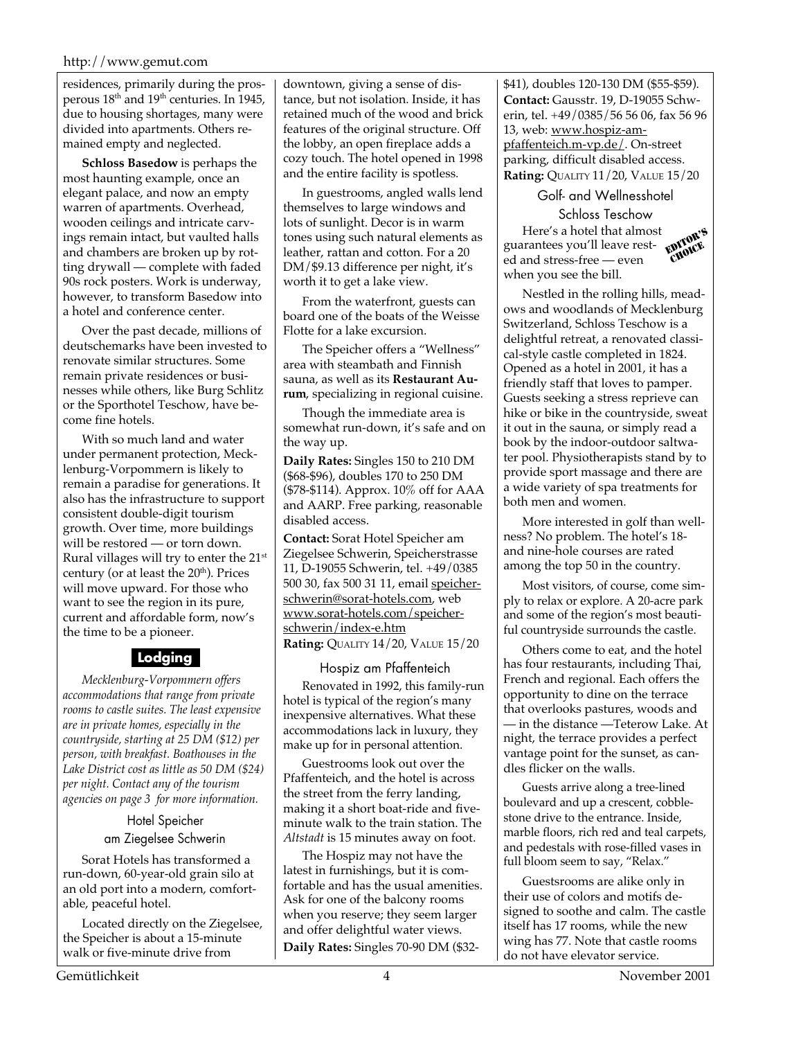#### http://www.gemut.com

residences, primarily during the prosperous  $18<sup>th</sup>$  and  $19<sup>th</sup>$  centuries. In 1945, due to housing shortages, many were divided into apartments. Others remained empty and neglected.

**Schloss Basedow** is perhaps the most haunting example, once an elegant palace, and now an empty warren of apartments. Overhead, wooden ceilings and intricate carvings remain intact, but vaulted halls and chambers are broken up by rotting drywall — complete with faded 90s rock posters. Work is underway, however, to transform Basedow into a hotel and conference center.

Over the past decade, millions of deutschemarks have been invested to renovate similar structures. Some remain private residences or businesses while others, like Burg Schlitz or the Sporthotel Teschow, have become fine hotels.

With so much land and water under permanent protection, Mecklenburg-Vorpommern is likely to remain a paradise for generations. It also has the infrastructure to support consistent double-digit tourism growth. Over time, more buildings will be restored — or torn down. Rural villages will try to enter the 21st century (or at least the  $20<sup>th</sup>$ ). Prices will move upward. For those who want to see the region in its pure, current and affordable form, now's the time to be a pioneer.

#### **Lodging**

*Mecklenburg-Vorpommern offers accommodations that range from private rooms to castle suites. The least expensive are in private homes, especially in the countryside, starting at 25 DM (\$12) per person, with breakfast. Boathouses in the Lake District cost as little as 50 DM (\$24) per night. Contact any of the tourism agencies on page 3 for more information.*

> Hotel Speicher am Ziegelsee Schwerin

Sorat Hotels has transformed a run-down, 60-year-old grain silo at an old port into a modern, comfortable, peaceful hotel.

Located directly on the Ziegelsee, the Speicher is about a 15-minute walk or five-minute drive from

downtown, giving a sense of distance, but not isolation. Inside, it has retained much of the wood and brick features of the original structure. Off the lobby, an open fireplace adds a cozy touch. The hotel opened in 1998 and the entire facility is spotless.

In guestrooms, angled walls lend themselves to large windows and lots of sunlight. Decor is in warm tones using such natural elements as leather, rattan and cotton. For a 20 DM/\$9.13 difference per night, it's worth it to get a lake view.

From the waterfront, guests can board one of the boats of the Weisse Flotte for a lake excursion.

The Speicher offers a "Wellness" area with steambath and Finnish sauna, as well as its **Restaurant Aurum**, specializing in regional cuisine.

Though the immediate area is somewhat run-down, it's safe and on the way up.

**Daily Rates:** Singles 150 to 210 DM (\$68-\$96), doubles 170 to 250 DM (\$78-\$114). Approx. 10% off for AAA and AARP. Free parking, reasonable disabled access.

**Contact:** Sorat Hotel Speicher am Ziegelsee Schwerin, Speicherstrasse 11, D-19055 Schwerin, tel. +49/0385 500 30, fax 500 31 11, email speicherschwerin@sorat-hotels.com, web www.sorat-hotels.com/speicherschwerin/index-e.htm **Rating:** QUALITY 14/20, VALUE 15/20

Hospiz am Pfaffenteich Renovated in 1992, this family-run hotel is typical of the region's many inexpensive alternatives. What these accommodations lack in luxury, they make up for in personal attention.

Guestrooms look out over the Pfaffenteich, and the hotel is across the street from the ferry landing, making it a short boat-ride and fiveminute walk to the train station. The *Altstadt* is 15 minutes away on foot.

The Hospiz may not have the latest in furnishings, but it is comfortable and has the usual amenities. Ask for one of the balcony rooms when you reserve; they seem larger and offer delightful water views. **Daily Rates:** Singles 70-90 DM (\$32\$41), doubles 120-130 DM (\$55-\$59). **Contact:** Gausstr. 19, D-19055 Schwerin, tel. +49/0385/56 56 06, fax 56 96 13, web: www.hospiz-ampfaffenteich.m-vp.de/. On-street parking, difficult disabled access. **Rating: QUALITY 11/20, VALUE 15/20** 

Golf- and Wellnesshotel Schloss Teschow Here's a hotel that almost guarantees you'll leave rested and stress-free — even when you see the bill. EDITOR'S CHOICE

Nestled in the rolling hills, meadows and woodlands of Mecklenburg Switzerland, Schloss Teschow is a delightful retreat, a renovated classical-style castle completed in 1824. Opened as a hotel in 2001, it has a friendly staff that loves to pamper. Guests seeking a stress reprieve can hike or bike in the countryside, sweat it out in the sauna, or simply read a book by the indoor-outdoor saltwater pool. Physiotherapists stand by to provide sport massage and there are a wide variety of spa treatments for both men and women.

More interested in golf than wellness? No problem. The hotel's 18 and nine-hole courses are rated among the top 50 in the country.

Most visitors, of course, come simply to relax or explore. A 20-acre park and some of the region's most beautiful countryside surrounds the castle.

Others come to eat, and the hotel has four restaurants, including Thai, French and regional. Each offers the opportunity to dine on the terrace that overlooks pastures, woods and — in the distance —Teterow Lake. At night, the terrace provides a perfect vantage point for the sunset, as candles flicker on the walls.

Guests arrive along a tree-lined boulevard and up a crescent, cobblestone drive to the entrance. Inside, marble floors, rich red and teal carpets, and pedestals with rose-filled vases in full bloom seem to say, "Relax."

Guestsrooms are alike only in their use of colors and motifs designed to soothe and calm. The castle itself has 17 rooms, while the new wing has 77. Note that castle rooms do not have elevator service.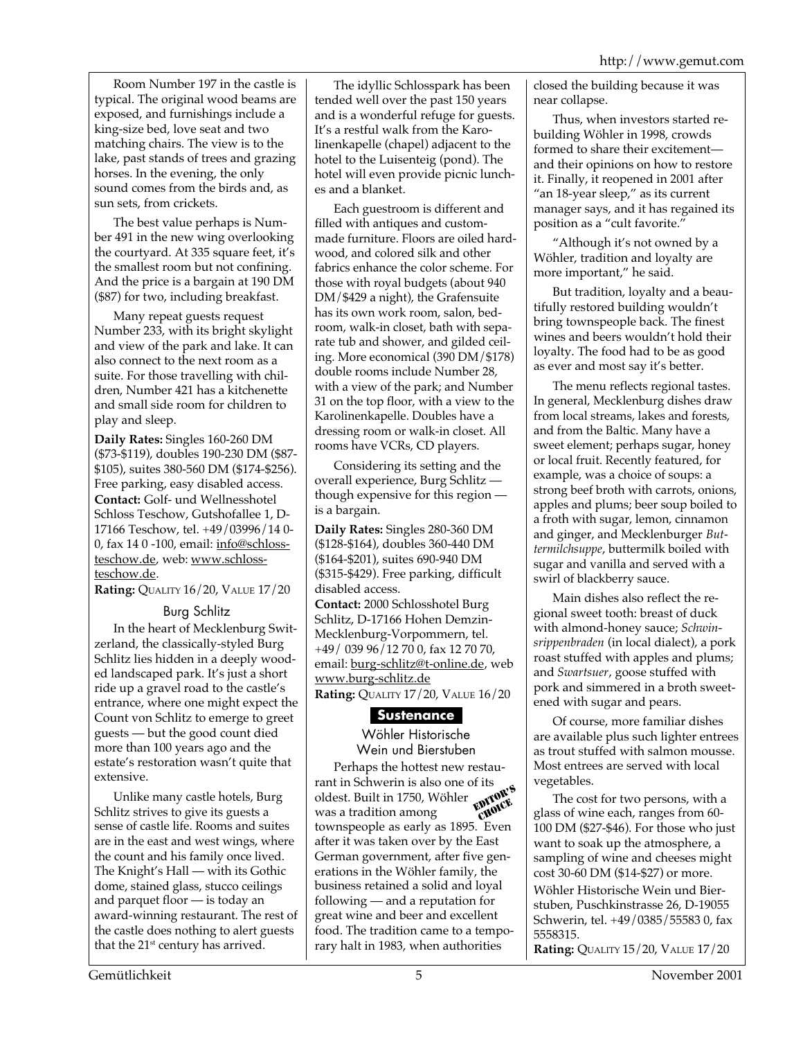Room Number 197 in the castle is typical. The original wood beams are exposed, and furnishings include a king-size bed, love seat and two matching chairs. The view is to the lake, past stands of trees and grazing horses. In the evening, the only sound comes from the birds and, as sun sets, from crickets.

The best value perhaps is Number 491 in the new wing overlooking the courtyard. At 335 square feet, it's the smallest room but not confining. And the price is a bargain at 190 DM (\$87) for two, including breakfast.

Many repeat guests request Number 233, with its bright skylight and view of the park and lake. It can also connect to the next room as a suite. For those travelling with children, Number 421 has a kitchenette and small side room for children to play and sleep.

**Daily Rates:** Singles 160-260 DM (\$73-\$119), doubles 190-230 DM (\$87- \$105), suites 380-560 DM (\$174-\$256). Free parking, easy disabled access. **Contact:** Golf- und Wellnesshotel Schloss Teschow, Gutshofallee 1, D-17166 Teschow, tel. +49/03996/14 0- 0, fax 14 0 -100, email: info@schlossteschow.de, web: www.schlossteschow.de.

**Rating:** QUALITY 16/20, VALUE 17/20

#### Burg Schlitz

In the heart of Mecklenburg Switzerland, the classically-styled Burg Schlitz lies hidden in a deeply wooded landscaped park. It's just a short ride up a gravel road to the castle's entrance, where one might expect the Count von Schlitz to emerge to greet guests — but the good count died more than 100 years ago and the estate's restoration wasn't quite that extensive.

Unlike many castle hotels, Burg Schlitz strives to give its guests a sense of castle life. Rooms and suites are in the east and west wings, where the count and his family once lived. The Knight's Hall — with its Gothic dome, stained glass, stucco ceilings and parquet floor — is today an award-winning restaurant. The rest of the castle does nothing to alert guests that the  $21<sup>st</sup>$  century has arrived.

The idyllic Schlosspark has been tended well over the past 150 years and is a wonderful refuge for guests. It's a restful walk from the Karolinenkapelle (chapel) adjacent to the hotel to the Luisenteig (pond). The hotel will even provide picnic lunches and a blanket.

Each guestroom is different and filled with antiques and custommade furniture. Floors are oiled hardwood, and colored silk and other fabrics enhance the color scheme. For those with royal budgets (about 940 DM/\$429 a night), the Grafensuite has its own work room, salon, bedroom, walk-in closet, bath with separate tub and shower, and gilded ceiling. More economical (390 DM/\$178) double rooms include Number 28, with a view of the park; and Number 31 on the top floor, with a view to the Karolinenkapelle. Doubles have a dressing room or walk-in closet. All rooms have VCRs, CD players.

Considering its setting and the overall experience, Burg Schlitz though expensive for this region is a bargain.

**Daily Rates:** Singles 280-360 DM (\$128-\$164), doubles 360-440 DM (\$164-\$201), suites 690-940 DM (\$315-\$429). Free parking, difficult disabled access.

**Contact:** 2000 Schlosshotel Burg Schlitz, D-17166 Hohen Demzin-Mecklenburg-Vorpommern, tel. +49/ 039 96/12 70 0, fax 12 70 70, email: burg-schlitz@t-online.de, web www.burg-schlitz.de

**Rating:** QUALITY 17/20, VALUE 16/20

#### **Sustenance**

Wöhler Historische Wein und Bierstuben

Perhaps the hottest new restaurant in Schwerin is also one of its oldest. Built in 1750, Wöhler Example to the contract of the set of the solid below that is disc one of the set of the solid below that was a tradition among townspeople as early as 1895. Even after it was taken over by the East German government, after five generations in the Wöhler family, the business retained a solid and loyal following — and a reputation for great wine and beer and excellent food. The tradition came to a temporary halt in 1983, when authorities choice closed the building because it was near collapse.

Thus, when investors started rebuilding Wöhler in 1998, crowds formed to share their excitement and their opinions on how to restore it. Finally, it reopened in 2001 after "an 18-year sleep," as its current manager says, and it has regained its position as a "cult favorite."

"Although it's not owned by a Wöhler, tradition and loyalty are more important," he said.

But tradition, loyalty and a beautifully restored building wouldn't bring townspeople back. The finest wines and beers wouldn't hold their loyalty. The food had to be as good as ever and most say it's better.

The menu reflects regional tastes. In general, Mecklenburg dishes draw from local streams, lakes and forests, and from the Baltic. Many have a sweet element; perhaps sugar, honey or local fruit. Recently featured, for example, was a choice of soups: a strong beef broth with carrots, onions, apples and plums; beer soup boiled to a froth with sugar, lemon, cinnamon and ginger, and Mecklenburger *Buttermilchsuppe*, buttermilk boiled with sugar and vanilla and served with a swirl of blackberry sauce.

Main dishes also reflect the regional sweet tooth: breast of duck with almond-honey sauce; *Schwinsrippenbraden* (in local dialect), a pork roast stuffed with apples and plums; and *Swartsuer*, goose stuffed with pork and simmered in a broth sweetened with sugar and pears.

Of course, more familiar dishes are available plus such lighter entrees as trout stuffed with salmon mousse. Most entrees are served with local vegetables.

The cost for two persons, with a glass of wine each, ranges from 60- 100 DM (\$27-\$46). For those who just want to soak up the atmosphere, a sampling of wine and cheeses might cost 30-60 DM (\$14-\$27) or more. Wöhler Historische Wein und Bierstuben, Puschkinstrasse 26, D-19055 Schwerin, tel. +49/0385/55583 0, fax 5558315. **Rating:** QUALITY 15/20, VALUE 17/20

Gemütlichkeit 5 November 2001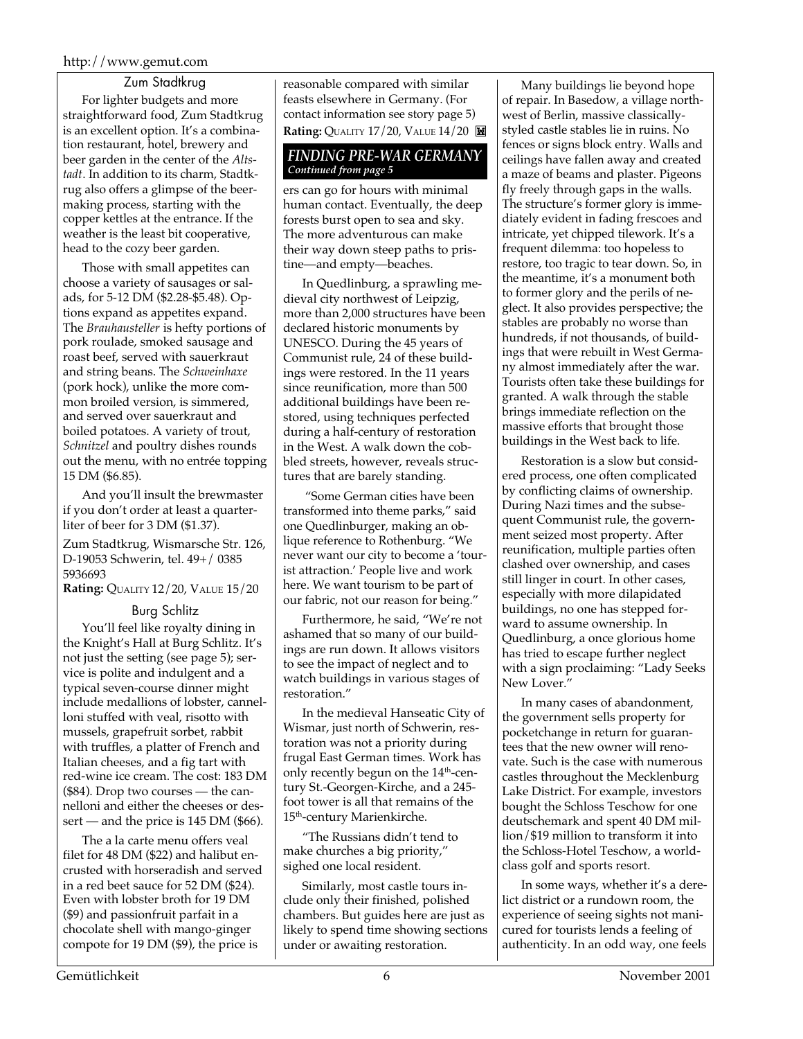#### http://www.gemut.com

Zum Stadtkrug

For lighter budgets and more straightforward food, Zum Stadtkrug is an excellent option. It's a combination restaurant, hotel, brewery and beer garden in the center of the *Altstadt*. In addition to its charm, Stadtkrug also offers a glimpse of the beermaking process, starting with the copper kettles at the entrance. If the weather is the least bit cooperative, head to the cozy beer garden.

Those with small appetites can choose a variety of sausages or salads, for 5-12 DM (\$2.28-\$5.48). Options expand as appetites expand. The *Brauhausteller* is hefty portions of pork roulade, smoked sausage and roast beef, served with sauerkraut and string beans. The *Schweinhaxe* (pork hock), unlike the more common broiled version, is simmered, and served over sauerkraut and boiled potatoes. A variety of trout, *Schnitzel* and poultry dishes rounds out the menu, with no entrée topping 15 DM (\$6.85).

And you'll insult the brewmaster if you don't order at least a quarterliter of beer for 3 DM (\$1.37).

Zum Stadtkrug, Wismarsche Str. 126, D-19053 Schwerin, tel. 49+/ 0385 5936693

**Rating:** QUALITY 12/20, VALUE 15/20

#### Burg Schlitz

You'll feel like royalty dining in the Knight's Hall at Burg Schlitz. It's not just the setting (see page 5); service is polite and indulgent and a typical seven-course dinner might include medallions of lobster, cannelloni stuffed with veal, risotto with mussels, grapefruit sorbet, rabbit with truffles, a platter of French and Italian cheeses, and a fig tart with red-wine ice cream. The cost: 183 DM (\$84). Drop two courses — the cannelloni and either the cheeses or dessert — and the price is 145 DM (\$66).

The a la carte menu offers veal filet for 48 DM (\$22) and halibut encrusted with horseradish and served in a red beet sauce for 52 DM (\$24). Even with lobster broth for 19 DM (\$9) and passionfruit parfait in a chocolate shell with mango-ginger compote for 19 DM (\$9), the price is

reasonable compared with similar feasts elsewhere in Germany. (For contact information see story page 5) **Rating: QUALITY 17/20, VALUE 14/20** 

#### *FINDING PRE-WAR GERMANY Continued from page 5*

ers can go for hours with minimal human contact. Eventually, the deep forests burst open to sea and sky. The more adventurous can make their way down steep paths to pristine—and empty—beaches.

In Quedlinburg, a sprawling medieval city northwest of Leipzig, more than 2,000 structures have been declared historic monuments by UNESCO. During the 45 years of Communist rule, 24 of these buildings were restored. In the 11 years since reunification, more than 500 additional buildings have been restored, using techniques perfected during a half-century of restoration in the West. A walk down the cobbled streets, however, reveals structures that are barely standing.

 "Some German cities have been transformed into theme parks," said one Quedlinburger, making an oblique reference to Rothenburg. "We never want our city to become a 'tourist attraction.' People live and work here. We want tourism to be part of our fabric, not our reason for being."

Furthermore, he said, "We're not ashamed that so many of our buildings are run down. It allows visitors to see the impact of neglect and to watch buildings in various stages of restoration."

In the medieval Hanseatic City of Wismar, just north of Schwerin, restoration was not a priority during frugal East German times. Work has only recently begun on the 14<sup>th</sup>-century St.-Georgen-Kirche, and a 245 foot tower is all that remains of the 15<sup>th</sup>-century Marienkirche.

"The Russians didn't tend to make churches a big priority," sighed one local resident.

Similarly, most castle tours include only their finished, polished chambers. But guides here are just as likely to spend time showing sections under or awaiting restoration.

Many buildings lie beyond hope of repair. In Basedow, a village northwest of Berlin, massive classicallystyled castle stables lie in ruins. No fences or signs block entry. Walls and ceilings have fallen away and created a maze of beams and plaster. Pigeons fly freely through gaps in the walls. The structure's former glory is immediately evident in fading frescoes and intricate, yet chipped tilework. It's a frequent dilemma: too hopeless to restore, too tragic to tear down. So, in the meantime, it's a monument both to former glory and the perils of neglect. It also provides perspective; the stables are probably no worse than hundreds, if not thousands, of buildings that were rebuilt in West Germany almost immediately after the war. Tourists often take these buildings for granted. A walk through the stable brings immediate reflection on the massive efforts that brought those buildings in the West back to life.

Restoration is a slow but considered process, one often complicated by conflicting claims of ownership. During Nazi times and the subsequent Communist rule, the government seized most property. After reunification, multiple parties often clashed over ownership, and cases still linger in court. In other cases, especially with more dilapidated buildings, no one has stepped forward to assume ownership. In Quedlinburg, a once glorious home has tried to escape further neglect with a sign proclaiming: "Lady Seeks New Lover."

In many cases of abandonment, the government sells property for pocketchange in return for guarantees that the new owner will renovate. Such is the case with numerous castles throughout the Mecklenburg Lake District. For example, investors bought the Schloss Teschow for one deutschemark and spent 40 DM million/\$19 million to transform it into the Schloss-Hotel Teschow, a worldclass golf and sports resort.

In some ways, whether it's a derelict district or a rundown room, the experience of seeing sights not manicured for tourists lends a feeling of authenticity. In an odd way, one feels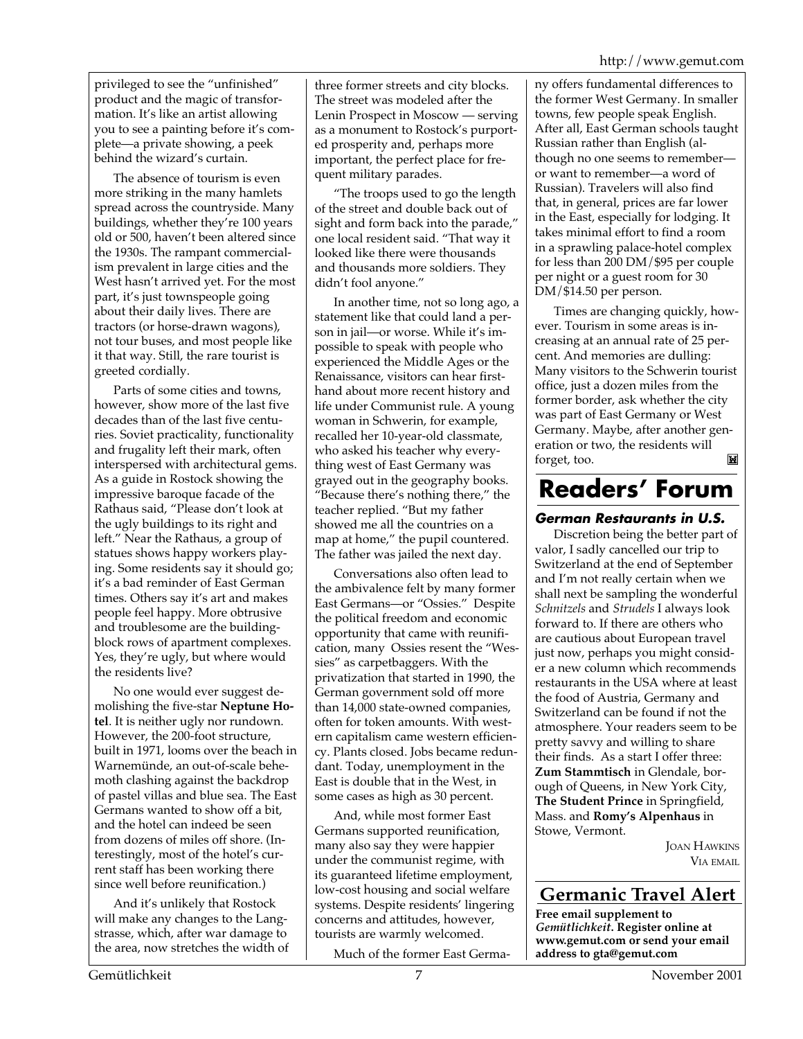privileged to see the "unfinished" product and the magic of transformation. It's like an artist allowing you to see a painting before it's complete—a private showing, a peek behind the wizard's curtain.

The absence of tourism is even more striking in the many hamlets spread across the countryside. Many buildings, whether they're 100 years old or 500, haven't been altered since the 1930s. The rampant commercialism prevalent in large cities and the West hasn't arrived yet. For the most part, it's just townspeople going about their daily lives. There are tractors (or horse-drawn wagons), not tour buses, and most people like it that way. Still, the rare tourist is greeted cordially.

Parts of some cities and towns, however, show more of the last five decades than of the last five centuries. Soviet practicality, functionality and frugality left their mark, often interspersed with architectural gems. As a guide in Rostock showing the impressive baroque facade of the Rathaus said, "Please don't look at the ugly buildings to its right and left." Near the Rathaus, a group of statues shows happy workers playing. Some residents say it should go; it's a bad reminder of East German times. Others say it's art and makes people feel happy. More obtrusive and troublesome are the buildingblock rows of apartment complexes. Yes, they're ugly, but where would the residents live?

No one would ever suggest demolishing the five-star **Neptune Hotel**. It is neither ugly nor rundown. However, the 200-foot structure, built in 1971, looms over the beach in Warnemünde, an out-of-scale behemoth clashing against the backdrop of pastel villas and blue sea. The East Germans wanted to show off a bit, and the hotel can indeed be seen from dozens of miles off shore. (Interestingly, most of the hotel's current staff has been working there since well before reunification.)

And it's unlikely that Rostock will make any changes to the Langstrasse, which, after war damage to the area, now stretches the width of

three former streets and city blocks. The street was modeled after the Lenin Prospect in Moscow — serving as a monument to Rostock's purported prosperity and, perhaps more important, the perfect place for frequent military parades.

"The troops used to go the length of the street and double back out of sight and form back into the parade," one local resident said. "That way it looked like there were thousands and thousands more soldiers. They didn't fool anyone."

In another time, not so long ago, a statement like that could land a person in jail—or worse. While it's impossible to speak with people who experienced the Middle Ages or the Renaissance, visitors can hear firsthand about more recent history and life under Communist rule. A young woman in Schwerin, for example, recalled her 10-year-old classmate, who asked his teacher why everything west of East Germany was grayed out in the geography books. "Because there's nothing there," the teacher replied. "But my father showed me all the countries on a map at home," the pupil countered. The father was jailed the next day.

Conversations also often lead to the ambivalence felt by many former East Germans—or "Ossies." Despite the political freedom and economic opportunity that came with reunification, many Ossies resent the "Wessies" as carpetbaggers. With the privatization that started in 1990, the German government sold off more than 14,000 state-owned companies, often for token amounts. With western capitalism came western efficiency. Plants closed. Jobs became redundant. Today, unemployment in the East is double that in the West, in some cases as high as 30 percent.

And, while most former East Germans supported reunification, many also say they were happier under the communist regime, with its guaranteed lifetime employment, low-cost housing and social welfare systems. Despite residents' lingering concerns and attitudes, however, tourists are warmly welcomed.

Much of the former East Germa-

ny offers fundamental differences to the former West Germany. In smaller towns, few people speak English. After all, East German schools taught Russian rather than English (although no one seems to remember or want to remember—a word of Russian). Travelers will also find that, in general, prices are far lower in the East, especially for lodging. It takes minimal effort to find a room in a sprawling palace-hotel complex for less than 200 DM/\$95 per couple per night or a guest room for 30 DM/\$14.50 per person.

Times are changing quickly, however. Tourism in some areas is increasing at an annual rate of 25 percent. And memories are dulling: Many visitors to the Schwerin tourist office, just a dozen miles from the former border, ask whether the city was part of East Germany or West Germany. Maybe, after another generation or two, the residents will M forget, too.

### **Readers' Forum**

#### **German Restaurants in U.S.**

Discretion being the better part of valor, I sadly cancelled our trip to Switzerland at the end of September and I'm not really certain when we shall next be sampling the wonderful *Schnitzels* and *Strudels* I always look forward to. If there are others who are cautious about European travel just now, perhaps you might consider a new column which recommends restaurants in the USA where at least the food of Austria, Germany and Switzerland can be found if not the atmosphere. Your readers seem to be pretty savvy and willing to share their finds. As a start I offer three: **Zum Stammtisch** in Glendale, borough of Queens, in New York City, **The Student Prince** in Springfield, Mass. and **Romy's Alpenhaus** in Stowe, Vermont.

> JOAN HAWKINS VIA EMAIL

#### **Germanic Travel Alert**

**Free email supplement to** *Gemütlichkeit***. Register online at www.gemut.com or send your email address to gta@gemut.com**